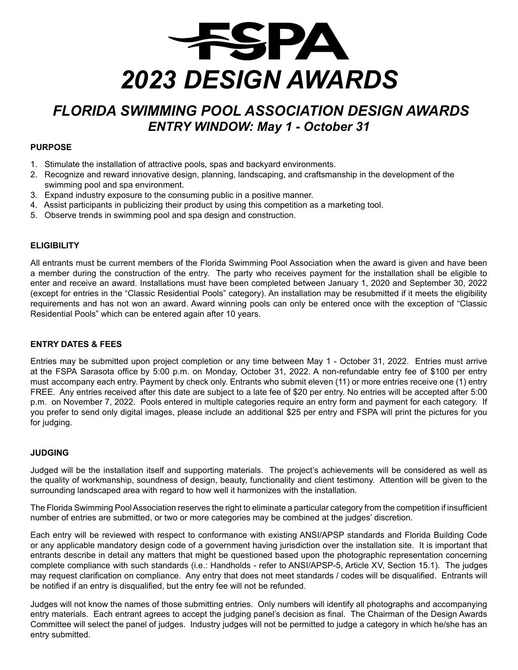

# *FLORIDA SWIMMING POOL ASSOCIATION DESIGN AWARDS ENTRY WINDOW: May 1 - October 31*

### **PURPOSE**

- 1. Stimulate the installation of attractive pools, spas and backyard environments.
- 2. Recognize and reward innovative design, planning, landscaping, and craftsmanship in the development of the swimming pool and spa environment.
- 3. Expand industry exposure to the consuming public in a positive manner.
- 4. Assist participants in publicizing their product by using this competition as a marketing tool.
- 5. Observe trends in swimming pool and spa design and construction.

### **ELIGIBILITY**

All entrants must be current members of the Florida Swimming Pool Association when the award is given and have been a member during the construction of the entry. The party who receives payment for the installation shall be eligible to enter and receive an award. Installations must have been completed between January 1, 2020 and September 30, 2022 (except for entries in the "Classic Residential Pools" category). An installation may be resubmitted if it meets the eligibility requirements and has not won an award. Award winning pools can only be entered once with the exception of "Classic Residential Pools" which can be entered again after 10 years.

### **ENTRY DATES & FEES**

Entries may be submitted upon project completion or any time between May 1 - October 31, 2022. Entries must arrive at the FSPA Sarasota office by 5:00 p.m. on Monday, October 31, 2022. A non-refundable entry fee of \$100 per entry must accompany each entry. Payment by check only. Entrants who submit eleven (11) or more entries receive one (1) entry FREE. Any entries received after this date are subject to a late fee of \$20 per entry. No entries will be accepted after 5:00 p.m. on November 7, 2022. Pools entered in multiple categories require an entry form and payment for each category. If you prefer to send only digital images, please include an additional \$25 per entry and FSPA will print the pictures for you for judging.

### **JUDGING**

Judged will be the installation itself and supporting materials. The project's achievements will be considered as well as the quality of workmanship, soundness of design, beauty, functionality and client testimony. Attention will be given to the surrounding landscaped area with regard to how well it harmonizes with the installation.

The Florida Swimming Pool Association reserves the right to eliminate a particular category from the competition if insufficient number of entries are submitted, or two or more categories may be combined at the judges' discretion.

Each entry will be reviewed with respect to conformance with existing ANSI/APSP standards and Florida Building Code or any applicable mandatory design code of a government having jurisdiction over the installation site. It is important that entrants describe in detail any matters that might be questioned based upon the photographic representation concerning complete compliance with such standards (i.e.: Handholds - refer to ANSI/APSP-5, Article XV, Section 15.1). The judges may request clarification on compliance. Any entry that does not meet standards / codes will be disqualified. Entrants will be notified if an entry is disqualified, but the entry fee will not be refunded.

Judges will not know the names of those submitting entries. Only numbers will identify all photographs and accompanying entry materials. Each entrant agrees to accept the judging panel's decision as final. The Chairman of the Design Awards Committee will select the panel of judges. Industry judges will not be permitted to judge a category in which he/she has an entry submitted.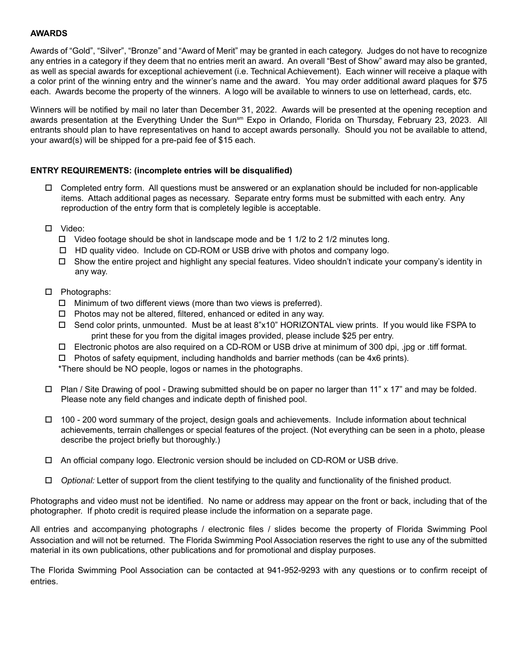### **AWARDS**

Awards of "Gold", "Silver", "Bronze" and "Award of Merit" may be granted in each category. Judges do not have to recognize any entries in a category if they deem that no entries merit an award. An overall "Best of Show" award may also be granted, as well as special awards for exceptional achievement (i.e. Technical Achievement). Each winner will receive a plaque with a color print of the winning entry and the winner's name and the award. You may order additional award plaques for \$75 each. Awards become the property of the winners. A logo will be available to winners to use on letterhead, cards, etc.

Winners will be notified by mail no later than December 31, 2022. Awards will be presented at the opening reception and awards presentation at the Everything Under the Sun<sup>sm</sup> Expo in Orlando, Florida on Thursday, February 23, 2023. All entrants should plan to have representatives on hand to accept awards personally. Should you not be available to attend, your award(s) will be shipped for a pre-paid fee of \$15 each.

### **ENTRY REQUIREMENTS: (incomplete entries will be disqualified)**

- $\Box$  Completed entry form. All questions must be answered or an explanation should be included for non-applicable items. Attach additional pages as necessary. Separate entry forms must be submitted with each entry. Any reproduction of the entry form that is completely legible is acceptable.
- □ Video:
	- $\Box$  Video footage should be shot in landscape mode and be 1 1/2 to 2 1/2 minutes long.
	- $\Box$  HD quality video. Include on CD-ROM or USB drive with photos and company logo.
	- $\Box$  Show the entire project and highlight any special features. Video shouldn't indicate your company's identity in any way.
- $\square$  Photographs:
	- $\Box$  Minimum of two different views (more than two views is preferred).
	- $\Box$  Photos may not be altered, filtered, enhanced or edited in any way.
	- $\Box$  Send color prints, unmounted. Must be at least 8"x10" HORIZONTAL view prints. If you would like FSPA to print these for you from the digital images provided, please include \$25 per entry.
	- $\Box$  Electronic photos are also required on a CD-ROM or USB drive at minimum of 300 dpi, .jpg or .tiff format.
	- $\Box$  Photos of safety equipment, including handholds and barrier methods (can be 4x6 prints).

\*There should be NO people, logos or names in the photographs.

- $\Box$  Plan / Site Drawing of pool Drawing submitted should be on paper no larger than 11" x 17" and may be folded. Please note any field changes and indicate depth of finished pool.
- $\Box$  100 200 word summary of the project, design goals and achievements. Include information about technical achievements, terrain challenges or special features of the project. (Not everything can be seen in a photo, please describe the project briefly but thoroughly.)
- $\Box$  An official company logo. Electronic version should be included on CD-ROM or USB drive.
- □ *Optional:* Letter of support from the client testifying to the quality and functionality of the finished product.

Photographs and video must not be identified. No name or address may appear on the front or back, including that of the photographer. If photo credit is required please include the information on a separate page.

All entries and accompanying photographs / electronic files / slides become the property of Florida Swimming Pool Association and will not be returned. The Florida Swimming Pool Association reserves the right to use any of the submitted material in its own publications, other publications and for promotional and display purposes.

The Florida Swimming Pool Association can be contacted at 941-952-9293 with any questions or to confirm receipt of entries.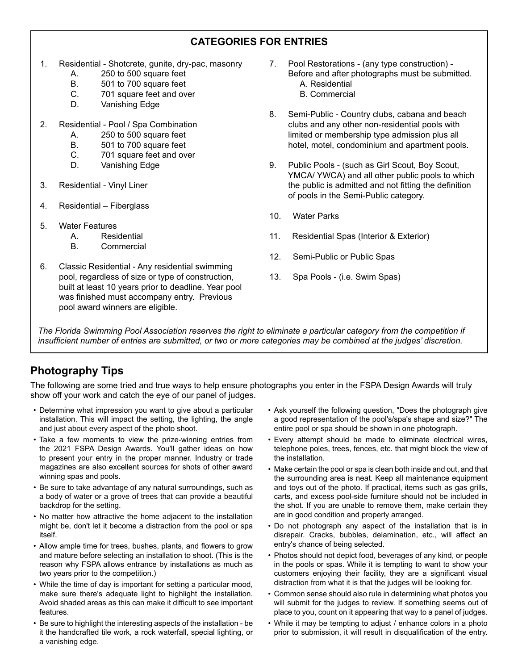# **CATEGORIES FOR ENTRIES**

- 1. Residential Shotcrete, gunite, dry-pac, masonry
	- A. 250 to 500 square feet<br>B. 501 to 700 square feet
	- 501 to 700 square feet
	- C. 701 square feet and over
	- D. Vanishing Edge
- 2. Residential Pool / Spa Combination
	- A. 250 to 500 square feet
	- B. 501 to 700 square feet
	- C. 701 square feet and over
	- D. Vanishing Edge
- 3. Residential Vinyl Liner
- 4. Residential Fiberglass
- 5. Water Features
	- A. Residential<br>B. Commercia
	- **Commercial**
- 6. Classic Residential Any residential swimming pool, regardless of size or type of construction, built at least 10 years prior to deadline. Year pool was finished must accompany entry. Previous pool award winners are eligible.
- 7. Pool Restorations (any type construction) Before and after photographs must be submitted. A. Residential
	- B. Commercial
- 8. Semi-Public Country clubs, cabana and beach clubs and any other non-residential pools with limited or membership type admission plus all hotel, motel, condominium and apartment pools.
- 9. Public Pools (such as Girl Scout, Boy Scout, YMCA/ YWCA) and all other public pools to which the public is admitted and not fitting the definition of pools in the Semi-Public category.
- 10. Water Parks
- 11. Residential Spas (Interior & Exterior)
- 12. Semi-Public or Public Spas
- 13. Spa Pools (i.e. Swim Spas)

*The Florida Swimming Pool Association reserves the right to eliminate a particular category from the competition if*  insufficient number of entries are submitted, or two or more categories may be combined at the judges' discretion.

# **Photography Tips**

The following are some tried and true ways to help ensure photographs you enter in the FSPA Design Awards will truly show off your work and catch the eye of our panel of judges.

- Determine what impression you want to give about a particular installation. This will impact the setting, the lighting, the angle and just about every aspect of the photo shoot.
- Take a few moments to view the prize-winning entries from the 2021 FSPA Design Awards. You'll gather ideas on how to present your entry in the proper manner. Industry or trade magazines are also excellent sources for shots of other award winning spas and pools.
- Be sure to take advantage of any natural surroundings, such as a body of water or a grove of trees that can provide a beautiful backdrop for the setting.
- No matter how attractive the home adjacent to the installation might be, don't let it become a distraction from the pool or spa itself.
- Allow ample time for trees, bushes, plants, and flowers to grow and mature before selecting an installation to shoot. (This is the reason why FSPA allows entrance by installations as much as two years prior to the competition.)
- While the time of day is important for setting a particular mood, make sure there's adequate light to highlight the installation. Avoid shaded areas as this can make it difficult to see important features.
- Be sure to highlight the interesting aspects of the installation be it the handcrafted tile work, a rock waterfall, special lighting, or a vanishing edge.
- Ask yourself the following question, "Does the photograph give a good representation of the pool's/spa's shape and size?" The entire pool or spa should be shown in one photograph.
- Every attempt should be made to eliminate electrical wires, telephone poles, trees, fences, etc. that might block the view of the installation.
- Make certain the pool or spa is clean both inside and out, and that the surrounding area is neat. Keep all maintenance equipment and toys out of the photo. If practical, items such as gas grills, carts, and excess pool-side furniture should not be included in the shot. If you are unable to remove them, make certain they are in good condition and properly arranged.
- Do not photograph any aspect of the installation that is in disrepair. Cracks, bubbles, delamination, etc., will affect an entry's chance of being selected.
- Photos should not depict food, beverages of any kind, or people in the pools or spas. While it is tempting to want to show your customers enjoying their facility, they are a significant visual distraction from what it is that the judges will be looking for.
- Common sense should also rule in determining what photos you will submit for the judges to review. If something seems out of place to you, count on it appearing that way to a panel of judges.
- While it may be tempting to adjust / enhance colors in a photo prior to submission, it will result in disqualification of the entry.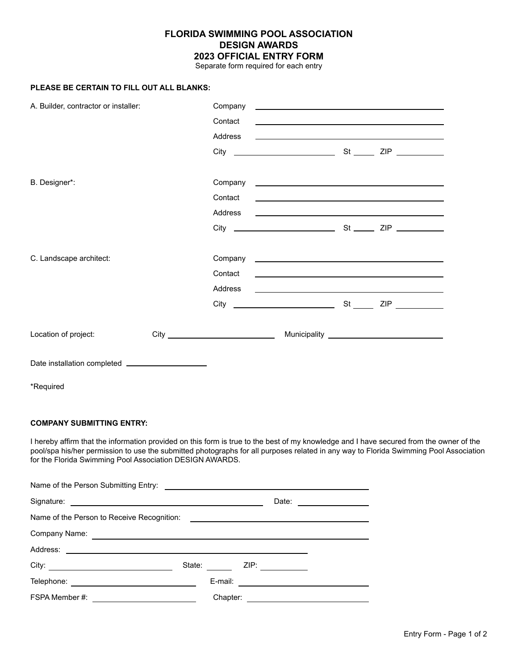## **FLORIDA SWIMMING POOL ASSOCIATION DESIGN AWARDS 2023 OFFICIAL ENTRY FORM**

Separate form required for each entry

### **PLEASE BE CERTAIN TO FILL OUT ALL BLANKS:**

| A. Builder, contractor or installer:               |  | Company<br><u> 1989 - Johann John Stein, markin fan it ferstjer fan de ferstjer fan it ferstjer fan de ferstjer fan de fers</u> |  |                                                                                                                      |  |
|----------------------------------------------------|--|---------------------------------------------------------------------------------------------------------------------------------|--|----------------------------------------------------------------------------------------------------------------------|--|
|                                                    |  | Contact                                                                                                                         |  |                                                                                                                      |  |
|                                                    |  | Address                                                                                                                         |  | <u> 1989 - Andrea Stadt Britain, amerikansk politiker (d. 1989)</u>                                                  |  |
|                                                    |  |                                                                                                                                 |  |                                                                                                                      |  |
| B. Designer*:                                      |  |                                                                                                                                 |  |                                                                                                                      |  |
|                                                    |  | Contact                                                                                                                         |  | <u> 1989 - Johann Stein, mars an deutscher Stein und der Stein und der Stein und der Stein und der Stein und der</u> |  |
|                                                    |  |                                                                                                                                 |  |                                                                                                                      |  |
|                                                    |  |                                                                                                                                 |  |                                                                                                                      |  |
| C. Landscape architect:                            |  |                                                                                                                                 |  |                                                                                                                      |  |
|                                                    |  | Contact                                                                                                                         |  |                                                                                                                      |  |
|                                                    |  | Address                                                                                                                         |  | <u> 1989 - Johann Barn, amerikansk politiker (d. 1989)</u>                                                           |  |
|                                                    |  |                                                                                                                                 |  |                                                                                                                      |  |
| Location of project:                               |  |                                                                                                                                 |  |                                                                                                                      |  |
| Date installation completed ______________________ |  |                                                                                                                                 |  |                                                                                                                      |  |
| *Required                                          |  |                                                                                                                                 |  |                                                                                                                      |  |

### **COMPANY SUBMITTING ENTRY:**

I hereby affirm that the information provided on this form is true to the best of my knowledge and I have secured from the owner of the pool/spa his/her permission to use the submitted photographs for all purposes related in any way to Florida Swimming Pool Association for the Florida Swimming Pool Association DESIGN AWARDS.

|                                                                                                                                                                                                                                     |                           | Date: _______________ |  |  |  |  |  |
|-------------------------------------------------------------------------------------------------------------------------------------------------------------------------------------------------------------------------------------|---------------------------|-----------------------|--|--|--|--|--|
|                                                                                                                                                                                                                                     |                           |                       |  |  |  |  |  |
| Company Name: <u>example and the company Name:</u> example and the company Name: example and the company of the company of the company of the company of the company of the company of the company of the company of the company of |                           |                       |  |  |  |  |  |
|                                                                                                                                                                                                                                     |                           |                       |  |  |  |  |  |
|                                                                                                                                                                                                                                     | State: <b>All Accords</b> |                       |  |  |  |  |  |
|                                                                                                                                                                                                                                     |                           |                       |  |  |  |  |  |
| FSPA Member #:<br><u> Alexandria de la conte</u>                                                                                                                                                                                    |                           |                       |  |  |  |  |  |